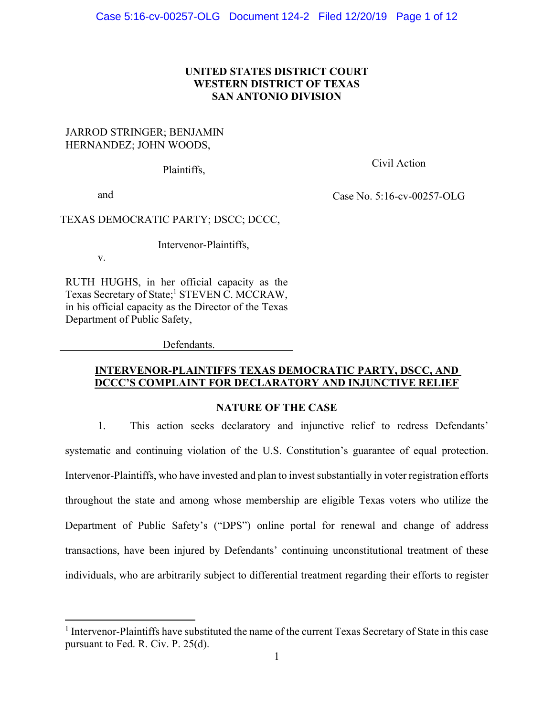## **UNITED STATES DISTRICT COURT WESTERN DISTRICT OF TEXAS SAN ANTONIO DIVISION**

## JARROD STRINGER; BENJAMIN HERNANDEZ; JOHN WOODS,

Plaintiffs,

and

Civil Action

Case No. 5:16-cv-00257-OLG

TEXAS DEMOCRATIC PARTY; DSCC; DCCC,

Intervenor-Plaintiffs,

v.

RUTH HUGHS, in her official capacity as the Texas Secretary of State;<sup>1</sup> STEVEN C. MCCRAW, in his official capacity as the Director of the Texas Department of Public Safety,

Defendants.

## **INTERVENOR-PLAINTIFFS TEXAS DEMOCRATIC PARTY, DSCC, AND DCCC'S COMPLAINT FOR DECLARATORY AND INJUNCTIVE RELIEF**

# **NATURE OF THE CASE**

1. This action seeks declaratory and injunctive relief to redress Defendants' systematic and continuing violation of the U.S. Constitution's guarantee of equal protection. Intervenor-Plaintiffs, who have invested and plan to invest substantially in voter registration efforts throughout the state and among whose membership are eligible Texas voters who utilize the Department of Public Safety's ("DPS") online portal for renewal and change of address transactions, have been injured by Defendants' continuing unconstitutional treatment of these individuals, who are arbitrarily subject to differential treatment regarding their efforts to register

<sup>&</sup>lt;sup>1</sup> Intervenor-Plaintiffs have substituted the name of the current Texas Secretary of State in this case pursuant to Fed. R. Civ. P. 25(d).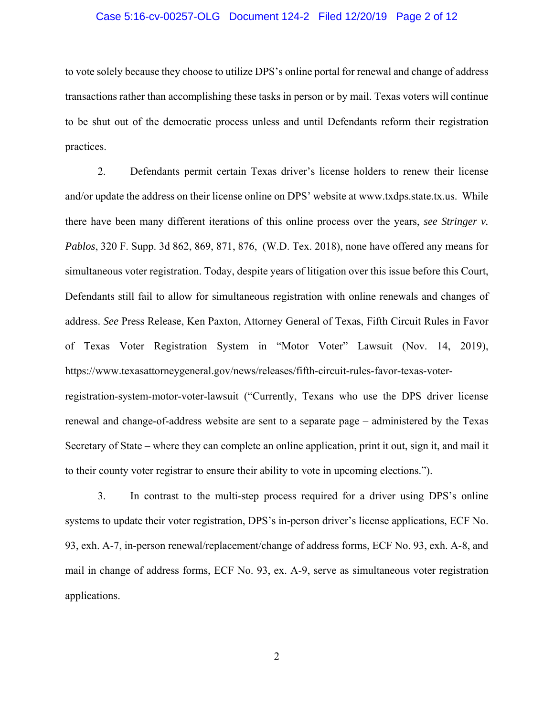### Case 5:16-cv-00257-OLG Document 124-2 Filed 12/20/19 Page 2 of 12

to vote solely because they choose to utilize DPS's online portal for renewal and change of address transactions rather than accomplishing these tasks in person or by mail. Texas voters will continue to be shut out of the democratic process unless and until Defendants reform their registration practices.

2. Defendants permit certain Texas driver's license holders to renew their license and/or update the address on their license online on DPS' website at www.txdps.state.tx.us. While there have been many different iterations of this online process over the years, *see Stringer v. Pablos*, 320 F. Supp. 3d 862, 869, 871, 876, (W.D. Tex. 2018), none have offered any means for simultaneous voter registration. Today, despite years of litigation over this issue before this Court, Defendants still fail to allow for simultaneous registration with online renewals and changes of address. *See* Press Release, Ken Paxton, Attorney General of Texas, Fifth Circuit Rules in Favor of Texas Voter Registration System in "Motor Voter" Lawsuit (Nov. 14, 2019), https://www.texasattorneygeneral.gov/news/releases/fifth-circuit-rules-favor-texas-voterregistration-system-motor-voter-lawsuit ("Currently, Texans who use the DPS driver license renewal and change-of-address website are sent to a separate page – administered by the Texas Secretary of State – where they can complete an online application, print it out, sign it, and mail it to their county voter registrar to ensure their ability to vote in upcoming elections.").

3. In contrast to the multi-step process required for a driver using DPS's online systems to update their voter registration, DPS's in-person driver's license applications, ECF No. 93, exh. A-7, in-person renewal/replacement/change of address forms, ECF No. 93, exh. A-8, and mail in change of address forms, ECF No. 93, ex. A-9, serve as simultaneous voter registration applications.

2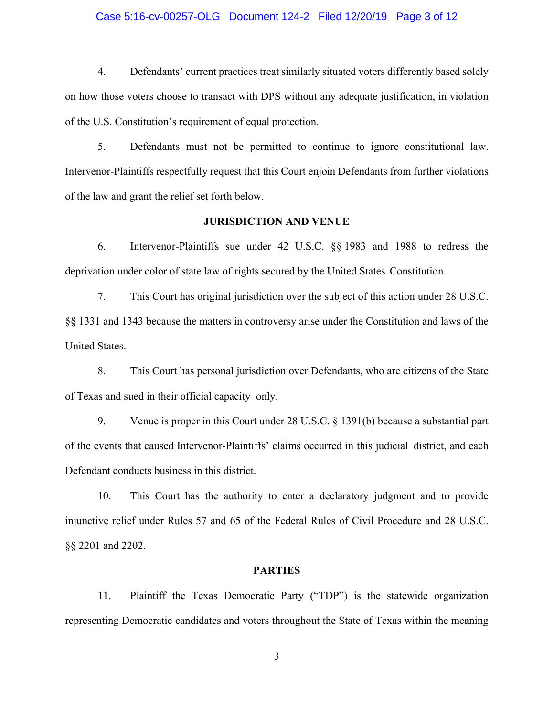### Case 5:16-cv-00257-OLG Document 124-2 Filed 12/20/19 Page 3 of 12

4. Defendants' current practices treat similarly situated voters differently based solely on how those voters choose to transact with DPS without any adequate justification, in violation of the U.S. Constitution's requirement of equal protection.

5. Defendants must not be permitted to continue to ignore constitutional law. Intervenor-Plaintiffs respectfully request that this Court enjoin Defendants from further violations of the law and grant the relief set forth below.

#### **JURISDICTION AND VENUE**

6. Intervenor-Plaintiffs sue under 42 U.S.C. §§ 1983 and 1988 to redress the deprivation under color of state law of rights secured by the United States Constitution.

7. This Court has original jurisdiction over the subject of this action under 28 U.S.C. §§ 1331 and 1343 because the matters in controversy arise under the Constitution and laws of the United States.

8. This Court has personal jurisdiction over Defendants, who are citizens of the State of Texas and sued in their official capacity only.

9. Venue is proper in this Court under 28 U.S.C. § 1391(b) because a substantial part of the events that caused Intervenor-Plaintiffs' claims occurred in this judicial district, and each Defendant conducts business in this district.

10. This Court has the authority to enter a declaratory judgment and to provide injunctive relief under Rules 57 and 65 of the Federal Rules of Civil Procedure and 28 U.S.C. §§ 2201 and 2202.

#### **PARTIES**

11. Plaintiff the Texas Democratic Party ("TDP") is the statewide organization representing Democratic candidates and voters throughout the State of Texas within the meaning

3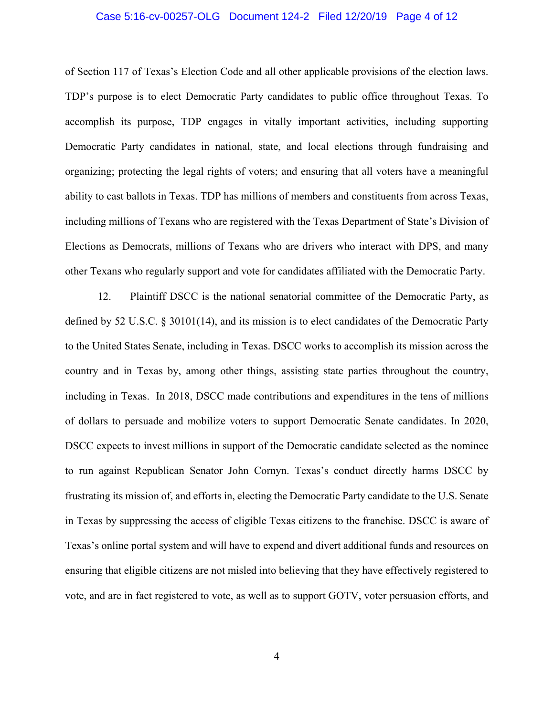### Case 5:16-cv-00257-OLG Document 124-2 Filed 12/20/19 Page 4 of 12

of Section 117 of Texas's Election Code and all other applicable provisions of the election laws. TDP's purpose is to elect Democratic Party candidates to public office throughout Texas. To accomplish its purpose, TDP engages in vitally important activities, including supporting Democratic Party candidates in national, state, and local elections through fundraising and organizing; protecting the legal rights of voters; and ensuring that all voters have a meaningful ability to cast ballots in Texas. TDP has millions of members and constituents from across Texas, including millions of Texans who are registered with the Texas Department of State's Division of Elections as Democrats, millions of Texans who are drivers who interact with DPS, and many other Texans who regularly support and vote for candidates affiliated with the Democratic Party.

12. Plaintiff DSCC is the national senatorial committee of the Democratic Party, as defined by 52 U.S.C. § 30101(14), and its mission is to elect candidates of the Democratic Party to the United States Senate, including in Texas. DSCC works to accomplish its mission across the country and in Texas by, among other things, assisting state parties throughout the country, including in Texas. In 2018, DSCC made contributions and expenditures in the tens of millions of dollars to persuade and mobilize voters to support Democratic Senate candidates. In 2020, DSCC expects to invest millions in support of the Democratic candidate selected as the nominee to run against Republican Senator John Cornyn. Texas's conduct directly harms DSCC by frustrating its mission of, and efforts in, electing the Democratic Party candidate to the U.S. Senate in Texas by suppressing the access of eligible Texas citizens to the franchise. DSCC is aware of Texas's online portal system and will have to expend and divert additional funds and resources on ensuring that eligible citizens are not misled into believing that they have effectively registered to vote, and are in fact registered to vote, as well as to support GOTV, voter persuasion efforts, and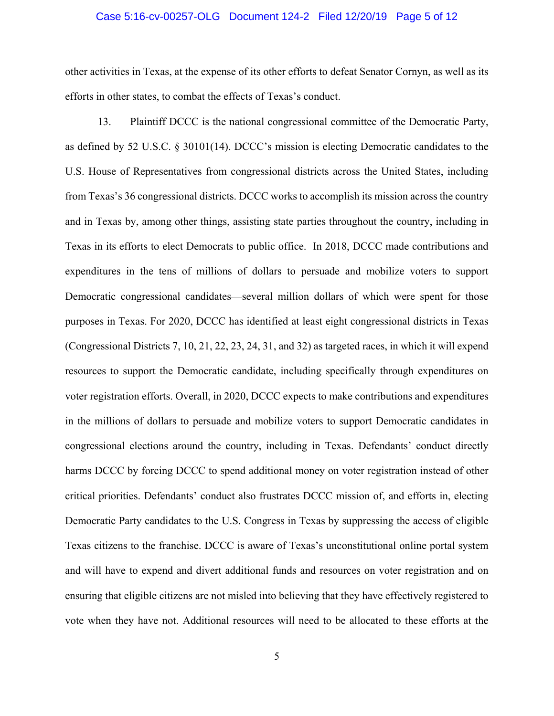### Case 5:16-cv-00257-OLG Document 124-2 Filed 12/20/19 Page 5 of 12

other activities in Texas, at the expense of its other efforts to defeat Senator Cornyn, as well as its efforts in other states, to combat the effects of Texas's conduct.

13. Plaintiff DCCC is the national congressional committee of the Democratic Party, as defined by 52 U.S.C. § 30101(14). DCCC's mission is electing Democratic candidates to the U.S. House of Representatives from congressional districts across the United States, including from Texas's 36 congressional districts. DCCC works to accomplish its mission across the country and in Texas by, among other things, assisting state parties throughout the country, including in Texas in its efforts to elect Democrats to public office. In 2018, DCCC made contributions and expenditures in the tens of millions of dollars to persuade and mobilize voters to support Democratic congressional candidates—several million dollars of which were spent for those purposes in Texas. For 2020, DCCC has identified at least eight congressional districts in Texas (Congressional Districts 7, 10, 21, 22, 23, 24, 31, and 32) as targeted races, in which it will expend resources to support the Democratic candidate, including specifically through expenditures on voter registration efforts. Overall, in 2020, DCCC expects to make contributions and expenditures in the millions of dollars to persuade and mobilize voters to support Democratic candidates in congressional elections around the country, including in Texas. Defendants' conduct directly harms DCCC by forcing DCCC to spend additional money on voter registration instead of other critical priorities. Defendants' conduct also frustrates DCCC mission of, and efforts in, electing Democratic Party candidates to the U.S. Congress in Texas by suppressing the access of eligible Texas citizens to the franchise. DCCC is aware of Texas's unconstitutional online portal system and will have to expend and divert additional funds and resources on voter registration and on ensuring that eligible citizens are not misled into believing that they have effectively registered to vote when they have not. Additional resources will need to be allocated to these efforts at the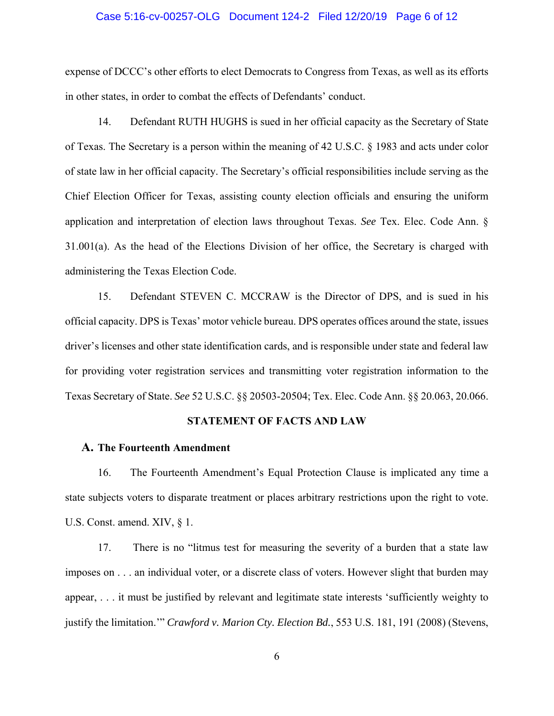### Case 5:16-cv-00257-OLG Document 124-2 Filed 12/20/19 Page 6 of 12

expense of DCCC's other efforts to elect Democrats to Congress from Texas, as well as its efforts in other states, in order to combat the effects of Defendants' conduct.

14. Defendant RUTH HUGHS is sued in her official capacity as the Secretary of State of Texas. The Secretary is a person within the meaning of 42 U.S.C. § 1983 and acts under color of state law in her official capacity. The Secretary's official responsibilities include serving as the Chief Election Officer for Texas, assisting county election officials and ensuring the uniform application and interpretation of election laws throughout Texas. *See* Tex. Elec. Code Ann. § 31.001(a). As the head of the Elections Division of her office, the Secretary is charged with administering the Texas Election Code.

15. Defendant STEVEN C. MCCRAW is the Director of DPS, and is sued in his official capacity. DPS is Texas' motor vehicle bureau. DPS operates offices around the state, issues driver's licenses and other state identification cards, and is responsible under state and federal law for providing voter registration services and transmitting voter registration information to the Texas Secretary of State. *See* 52 U.S.C. §§ 20503-20504; Tex. Elec. Code Ann. §§ 20.063, 20.066.

## **STATEMENT OF FACTS AND LAW**

## **A. The Fourteenth Amendment**

16. The Fourteenth Amendment's Equal Protection Clause is implicated any time a state subjects voters to disparate treatment or places arbitrary restrictions upon the right to vote. U.S. Const. amend. XIV,  $\S$  1.

17. There is no "litmus test for measuring the severity of a burden that a state law imposes on . . . an individual voter, or a discrete class of voters. However slight that burden may appear, . . . it must be justified by relevant and legitimate state interests 'sufficiently weighty to justify the limitation.'" *Crawford v. Marion Cty. Election Bd.*, 553 U.S. 181, 191 (2008) (Stevens,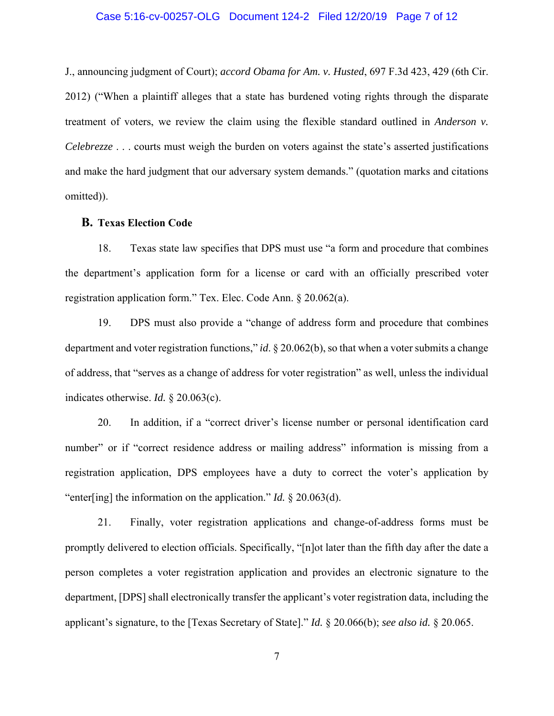### Case 5:16-cv-00257-OLG Document 124-2 Filed 12/20/19 Page 7 of 12

J., announcing judgment of Court); *accord Obama for Am. v. Husted*, 697 F.3d 423, 429 (6th Cir. 2012) ("When a plaintiff alleges that a state has burdened voting rights through the disparate treatment of voters, we review the claim using the flexible standard outlined in *Anderson v. Celebrezze* . . . courts must weigh the burden on voters against the state's asserted justifications and make the hard judgment that our adversary system demands." (quotation marks and citations omitted)).

#### **B. Texas Election Code**

18. Texas state law specifies that DPS must use "a form and procedure that combines the department's application form for a license or card with an officially prescribed voter registration application form." Tex. Elec. Code Ann. § 20.062(a).

19. DPS must also provide a "change of address form and procedure that combines department and voter registration functions," *id*. § 20.062(b), so that when a voter submits a change of address, that "serves as a change of address for voter registration" as well, unless the individual indicates otherwise. *Id.* § 20.063(c).

20. In addition, if a "correct driver's license number or personal identification card number" or if "correct residence address or mailing address" information is missing from a registration application, DPS employees have a duty to correct the voter's application by "enter[ing] the information on the application." *Id.* § 20.063(d).

21. Finally, voter registration applications and change-of-address forms must be promptly delivered to election officials. Specifically, "[n]ot later than the fifth day after the date a person completes a voter registration application and provides an electronic signature to the department, [DPS] shall electronically transfer the applicant's voter registration data, including the applicant's signature, to the [Texas Secretary of State]." *Id.* § 20.066(b); *see also id.* § 20.065.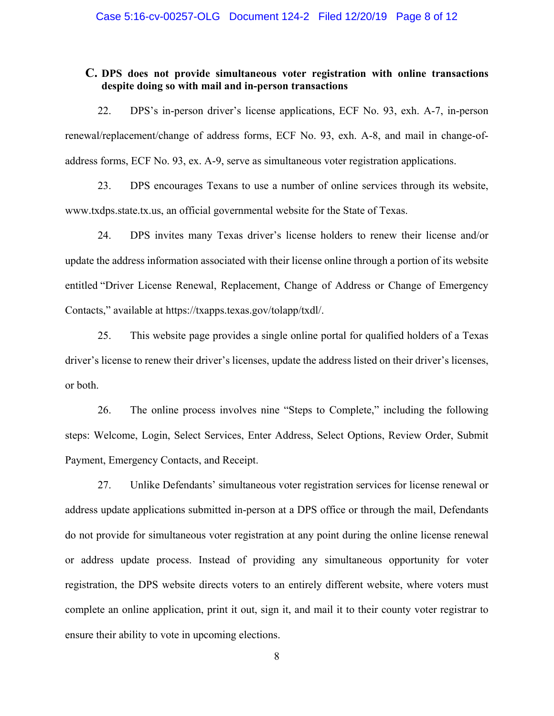## **C. DPS does not provide simultaneous voter registration with online transactions despite doing so with mail and in-person transactions**

22. DPS's in-person driver's license applications, ECF No. 93, exh. A-7, in-person renewal/replacement/change of address forms, ECF No. 93, exh. A-8, and mail in change-ofaddress forms, ECF No. 93, ex. A-9, serve as simultaneous voter registration applications.

23. DPS encourages Texans to use a number of online services through its website, www.txdps.state.tx.us, an official governmental website for the State of Texas.

24. DPS invites many Texas driver's license holders to renew their license and/or update the address information associated with their license online through a portion of its website entitled "Driver License Renewal, Replacement, Change of Address or Change of Emergency Contacts," available at https://txapps.texas.gov/tolapp/txdl/.

25. This website page provides a single online portal for qualified holders of a Texas driver's license to renew their driver's licenses, update the address listed on their driver's licenses, or both.

26. The online process involves nine "Steps to Complete," including the following steps: Welcome, Login, Select Services, Enter Address, Select Options, Review Order, Submit Payment, Emergency Contacts, and Receipt.

27. Unlike Defendants' simultaneous voter registration services for license renewal or address update applications submitted in-person at a DPS office or through the mail, Defendants do not provide for simultaneous voter registration at any point during the online license renewal or address update process. Instead of providing any simultaneous opportunity for voter registration, the DPS website directs voters to an entirely different website, where voters must complete an online application, print it out, sign it, and mail it to their county voter registrar to ensure their ability to vote in upcoming elections.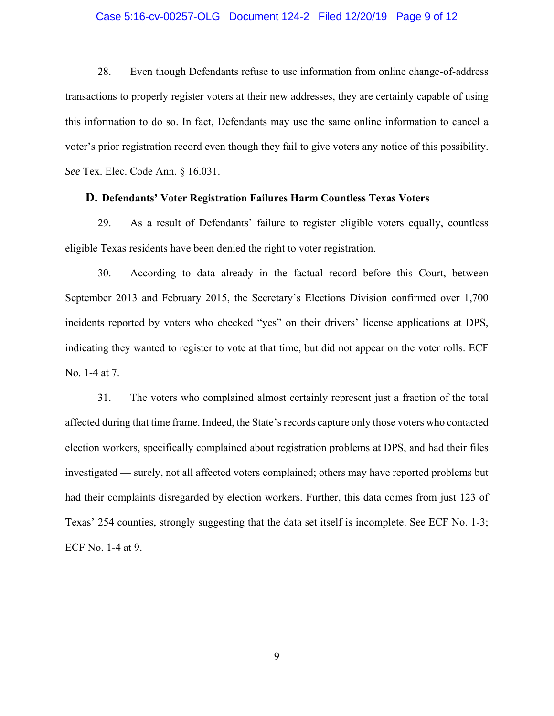### Case 5:16-cv-00257-OLG Document 124-2 Filed 12/20/19 Page 9 of 12

28. Even though Defendants refuse to use information from online change-of-address transactions to properly register voters at their new addresses, they are certainly capable of using this information to do so. In fact, Defendants may use the same online information to cancel a voter's prior registration record even though they fail to give voters any notice of this possibility. *See* Tex. Elec. Code Ann. § 16.031.

## **D. Defendants' Voter Registration Failures Harm Countless Texas Voters**

29. As a result of Defendants' failure to register eligible voters equally, countless eligible Texas residents have been denied the right to voter registration.

30. According to data already in the factual record before this Court, between September 2013 and February 2015, the Secretary's Elections Division confirmed over 1,700 incidents reported by voters who checked "yes" on their drivers' license applications at DPS, indicating they wanted to register to vote at that time, but did not appear on the voter rolls. ECF No. 1-4 at 7.

31. The voters who complained almost certainly represent just a fraction of the total affected during that time frame. Indeed, the State's records capture only those voters who contacted election workers, specifically complained about registration problems at DPS, and had their files investigated — surely, not all affected voters complained; others may have reported problems but had their complaints disregarded by election workers. Further, this data comes from just 123 of Texas' 254 counties, strongly suggesting that the data set itself is incomplete. See ECF No. 1-3; ECF No. 1-4 at 9.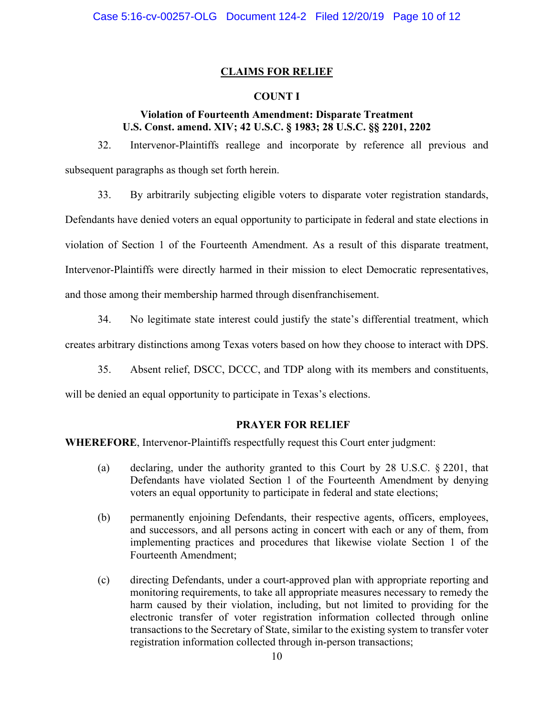## **CLAIMS FOR RELIEF**

## **COUNT I**

## **Violation of Fourteenth Amendment: Disparate Treatment U.S. Const. amend. XIV; 42 U.S.C. § 1983; 28 U.S.C. §§ 2201, 2202**

32. Intervenor-Plaintiffs reallege and incorporate by reference all previous and subsequent paragraphs as though set forth herein.

33. By arbitrarily subjecting eligible voters to disparate voter registration standards,

Defendants have denied voters an equal opportunity to participate in federal and state elections in violation of Section 1 of the Fourteenth Amendment. As a result of this disparate treatment, Intervenor-Plaintiffs were directly harmed in their mission to elect Democratic representatives,

and those among their membership harmed through disenfranchisement.

34. No legitimate state interest could justify the state's differential treatment, which

creates arbitrary distinctions among Texas voters based on how they choose to interact with DPS.

35. Absent relief, DSCC, DCCC, and TDP along with its members and constituents,

will be denied an equal opportunity to participate in Texas's elections.

### **PRAYER FOR RELIEF**

**WHEREFORE**, Intervenor-Plaintiffs respectfully request this Court enter judgment:

- (a) declaring, under the authority granted to this Court by 28 U.S.C. § 2201, that Defendants have violated Section 1 of the Fourteenth Amendment by denying voters an equal opportunity to participate in federal and state elections;
- (b) permanently enjoining Defendants, their respective agents, officers, employees, and successors, and all persons acting in concert with each or any of them, from implementing practices and procedures that likewise violate Section 1 of the Fourteenth Amendment;
- (c) directing Defendants, under a court-approved plan with appropriate reporting and monitoring requirements, to take all appropriate measures necessary to remedy the harm caused by their violation, including, but not limited to providing for the electronic transfer of voter registration information collected through online transactions to the Secretary of State, similar to the existing system to transfer voter registration information collected through in-person transactions;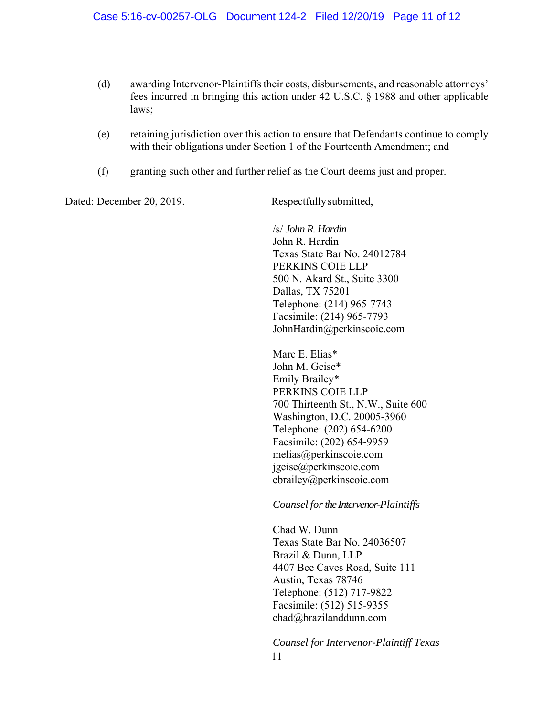- (d) awarding Intervenor-Plaintiffs their costs, disbursements, and reasonable attorneys' fees incurred in bringing this action under 42 U.S.C. § 1988 and other applicable laws;
- (e) retaining jurisdiction over this action to ensure that Defendants continue to comply with their obligations under Section 1 of the Fourteenth Amendment; and
- (f) granting such other and further relief as the Court deems just and proper.

Dated: December 20, 2019. Respectfully submitted,

/s/ *John R. Hardin* John R. Hardin Texas State Bar No. 24012784 PERKINS COIE LLP 500 N. Akard St., Suite 3300 Dallas, TX 75201 Telephone: (214) 965-7743 Facsimile: (214) 965-7793 JohnHardin@perkinscoie.com

Marc E. Elias\* John M. Geise\* Emily Brailey\* PERKINS COIE LLP 700 Thirteenth St., N.W., Suite 600 Washington, D.C. 20005-3960 Telephone: (202) 654-6200 Facsimile: (202) 654-9959 melias@perkinscoie.com jgeise@perkinscoie.com ebrailey@perkinscoie.com

### *Counsel for the Intervenor-Plaintiffs*

Chad W. Dunn Texas State Bar No. 24036507 Brazil & Dunn, LLP 4407 Bee Caves Road, Suite 111 Austin, Texas 78746 Telephone: (512) 717-9822 Facsimile: (512) 515-9355 chad@brazilanddunn.com

11 *Counsel for Intervenor-Plaintiff Texas*